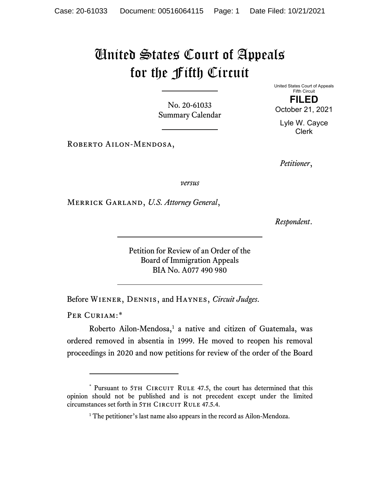## United States Court of Appeals for the Fifth Circuit

No. 20-61033 Summary Calendar

Roberto Ailon-Mendosa,

United States Court of Appeals Fifth Circuit

**FILED** October 21, 2021

Lyle W. Cayce Clerk

*Petitioner*,

*versus*

Merrick Garland, *U.S. Attorney General*,

*Respondent*.

Petition for Review of an Order of the Board of Immigration Appeals BIA No. A077 490 980

Before Wiener, Dennis, and Haynes, *Circuit Judges*.

PER CURIAM:[\\*](#page-0-0)

Roberto Ailon-Mendosa,<sup>[1](#page-0-1)</sup> a native and citizen of Guatemala, was ordered removed in absentia in 1999. He moved to reopen his removal proceedings in 2020 and now petitions for review of the order of the Board

<span id="page-0-1"></span><span id="page-0-0"></span><sup>\*</sup> Pursuant to 5TH CIRCUIT RULE 47.5, the court has determined that this opinion should not be published and is not precedent except under the limited circumstances set forth in 5TH CIRCUIT RULE 47.5.4.

<sup>&</sup>lt;sup>1</sup> The petitioner's last name also appears in the record as Ailon-Mendoza.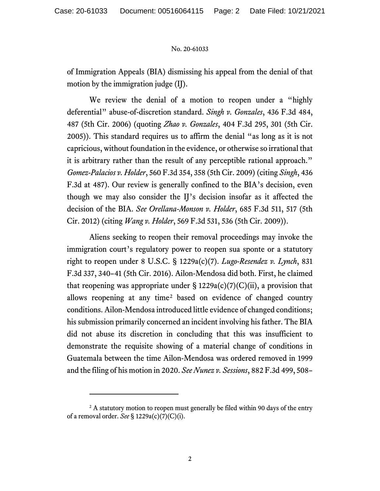## No. 20-61033

of Immigration Appeals (BIA) dismissing his appeal from the denial of that motion by the immigration judge (IJ).

We review the denial of a motion to reopen under a "highly deferential" abuse-of-discretion standard. *Singh v. Gonzales*, 436 F.3d 484, 487 (5th Cir. 2006) (quoting *Zhao v. Gonzales*, 404 F.3d 295, 301 (5th Cir. 2005)). This standard requires us to affirm the denial "as long as it is not capricious, without foundation in the evidence, or otherwise so irrational that it is arbitrary rather than the result of any perceptible rational approach." *Gomez-Palacios v. Holder*, 560 F.3d 354, 358 (5th Cir. 2009) (citing *Singh*, 436 F.3d at 487). Our review is generally confined to the BIA's decision, even though we may also consider the IJ's decision insofar as it affected the decision of the BIA. *See Orellana-Monson v. Holder*, 685 F.3d 511, 517 (5th Cir. 2012) (citing *Wang v. Holder*, 569 F.3d 531, 536 (5th Cir. 2009)).

Aliens seeking to reopen their removal proceedings may invoke the immigration court's regulatory power to reopen sua sponte or a statutory right to reopen under 8 U.S.C. § 1229a(c)(7). *Lugo-Resendez v. Lynch*, 831 F.3d 337, 340–41 (5th Cir. 2016). Ailon-Mendosa did both. First, he claimed that reopening was appropriate under  $\S 1229a(c)(7)(C)(ii)$ , a provision that allows reopening at any time[2](#page-1-0) based on evidence of changed country conditions. Ailon-Mendosa introduced little evidence of changed conditions; his submission primarily concerned an incident involving his father. The BIA did not abuse its discretion in concluding that this was insufficient to demonstrate the requisite showing of a material change of conditions in Guatemala between the time Ailon-Mendosa was ordered removed in 1999 and the filing of his motion in 2020. *See Nunez v. Sessions*, 882 F.3d 499, 508–

<span id="page-1-0"></span><sup>&</sup>lt;sup>2</sup> A statutory motion to reopen must generally be filed within 90 days of the entry of a removal order. *See* § 1229a(c)(7)(C)(i).